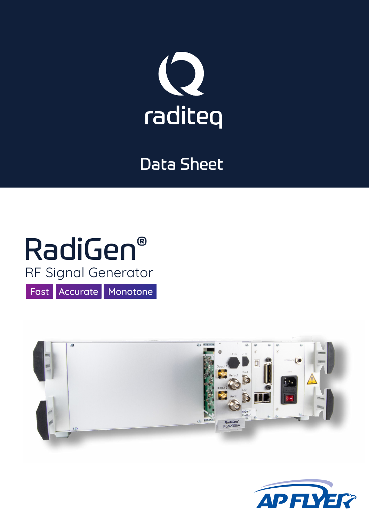

### Data Sheet

## RadiGen® Fast Accurate Monotone RF Signal Generator



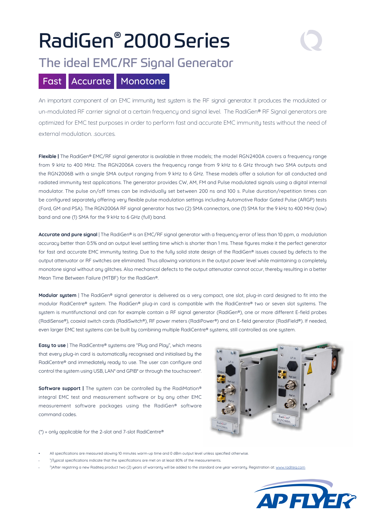# RadiGen® 2000Series

### The ideal EMC/RF Signal Generator

### Fast Accurate Monotone

An important component of an EMC immunity test system is the RF signal generator. It produces the modulated or un-modulated RF carrier signal at a certain frequency and signal level. The RadiGen® RF Signal generators are optimized for EMC test purposes in order to perform fast and accurate EMC immunity tests without the need of external modulation. .sources.

**Flexible |** The RadiGen® EMC/RF signal generator is available in three models; the model RGN2400A covers a frequency range from 9 kHz to 400 MHz. The RGN2006A covers the frequency range from 9 kHz to 6 GHz through two SMA outputs and the RGN2006B with a single SMA output ranging from 9 kHz to 6 GHz. These models offer a solution for all conducted and radiated immunity test applications. The generator provides CW, AM, FM and Pulse modulated signals using a digital internal modulator. The pulse on/off times can be individually set between 200 ns and 100 s. Pulse duration/repetition times can be configured separately offering very flexible pulse modulation settings including Automotive Radar Gated Pulse (ARGP) tests (Ford, GM and PSA). The RGN2006A RF signal generator has two (2) SMA connectors, one (1) SMA for the 9 kHz to 400 MHz (low) band and one (1) SMA for the 9 kHz to 6 GHz (full) band.

Accurate and pure signal I The RadiGen® is an EMC/RF signal generator with a frequency error of less than 10 ppm, a modulation accuracy better than 0.5% and an output level settling time which is shorter than 1 ms. These figures make it the perfect generator for fast and accurate EMC immunity testing. Due to the fully solid state design of the RadiGen® issues caused by defects to the output attenuator or RF switches are eliminated. Thus allowing variations in the output power level while maintaining a completely monotone signal without any glitches. Also mechanical defects to the output attenuator cannot occur, thereby resulting in a better Mean Time Between Failure (MTBF) for the RadiGen®.

**Modular system** | The RadiGen® signal generator is delivered as a very compact, one slot, plug-in card designed to fit into the modular RadiCentre® system. The RadiGen® plug-in card is compatible with the RadiCentre® two or seven slot systems. The system is muntifunctional and can for example contain a RF signal generator (RadiGen®), one or more different E-field probes (RadiSense®), coaxial switch cards (RadiSwitch®), RF power meters (RadiPower®) and an E-field generator (RadiField®). If needed, even larger EMC test systems can be built by combining multiple RadiCentre® systems, still controlled as one system.

**Easy to use** | The RadiCentre<sup>®</sup> systems are "Plug and Play", which means that every plug-in card is automatically recognised and initialised by the RadiCentre® and immediately ready to use. The user can configure and control the system using USB, LAN\* and GPIB\* or through the touchscreen\*.

**Software support |** The system can be controlled by the RadiMation® integral EMC test and measurement software or by any other EMC measurement software packages using the RadiGen® software command codes.



(\*) = only applicable for the 2-slot and 7-slot RadiCentre®

- All specifications are measured alowing 10 minutes warm-up time and 0 dBm output level unless specified otherwise.
- <sup>1</sup> )Typical specifications indicate that the specifications are met on at least 80% of the measurements.
- 2)After registring a new Raditeq product two (2) years of warranty will be added to the standard one year warranty. Registration at: www.raditeg.com